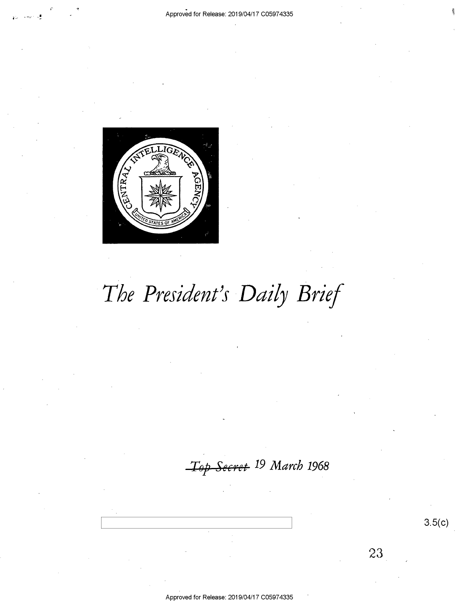

# The President's Daily Brief

Top Secret <sup>19</sup> March 1968

Approved for Release: 2019/04/17 C05974335

 $3.5(c)$ 

23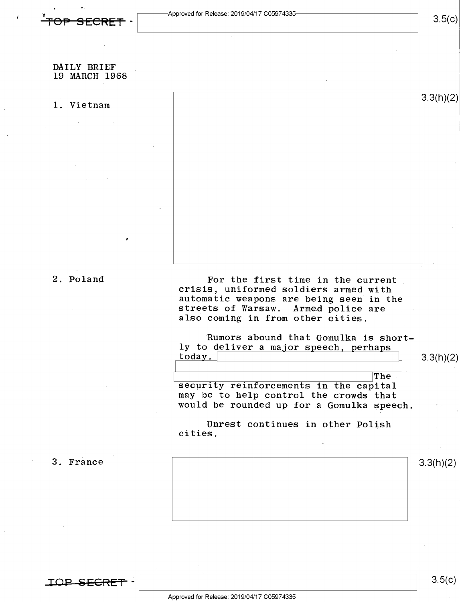### DAILY BRIEF 19 MARCH 1968

### 1. Vietnam  $\begin{vmatrix} 3.3(11)(2) \end{vmatrix}$

,

2. Poland For the first time in the current<br>crisis, uniformed soldiers armed with automatic weapons are being seen in the<br>streets of Warsaw. Armed police are also coming in from other cities.

> 'Rumors abound that Gomulka is shortly to deliver a major speech, perhaps today.

 $3.3(h)(2)$ 

i \ The security reinforcements in the capital may be to help control the crowds that would be rounded up for a Gomulka speech.

Unrest continues in other Polish cities.

3. France  $\vert$  3.3(h)(2)

 $\begin{array}{c} \texttt{TOP-SEGRI} \end{array}$ 

 $3.5(c)$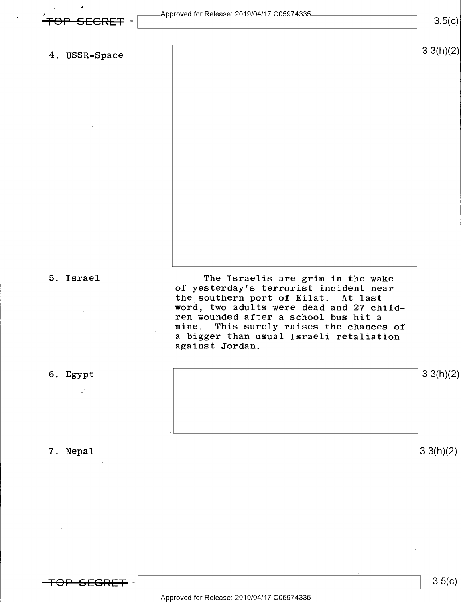i i s

4. USSR-Space  $\vert$  3.3(h)(2)

 $\mathbb{L}^1$ 

5. Israel The Israelis are grim in the wake . of yesterday's terrorist incident near the southern port of Eilat. At last word, two adults were dead and 27 children wounded after a school bus hit <sup>a</sup> mine. This surely raises the chances of a bigger than usual Israeli retaliation .<br>against Jordan.



 $3.5(c)$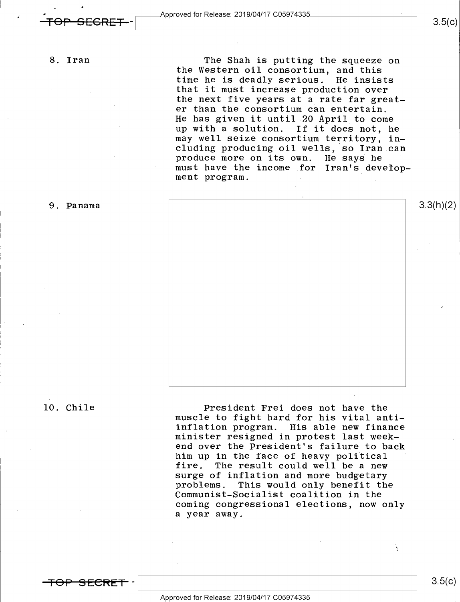8. Iran

. .u

The Shah is putting the squeeze on the Western oil consortium, and this time he is deadly serious. He insists that it must increase production over the next five years at a rate far greater than the consortium can entertain. He has given it until 20 April to come up with a solution. If it does not, he may well seize consortium territory, including producing oil wells, so Iran can produce more on its own. He says he must have the income .for Iran's development program.

9. Panama  $3.3(n)(2)$ 

10. Chile President Frei does not have the muscle to fight hard for his vital antiinflation program. His able new finance minister resigned in protest last weekend over the President's failure to back him up in the face of heavy political fire. The result could well be a new surge of inflation and more budgetary<br>problems. This would only benefit the Communist-Socialist coalition in the coming congressional elections, now only a year away.

 $3.5(c)$ 

k,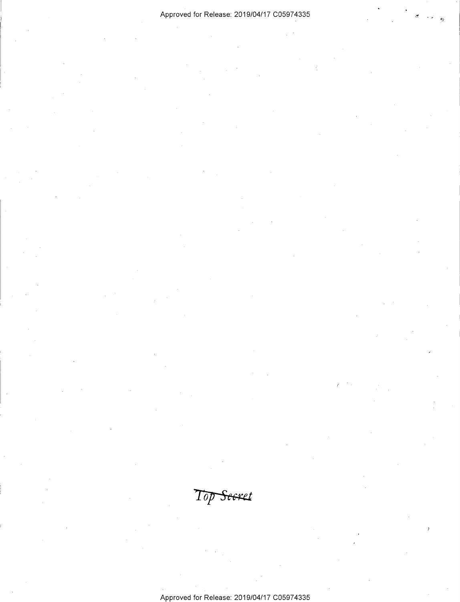### Approved for Release: 2019/O4/17 CO5974335

 $Top$ Seeret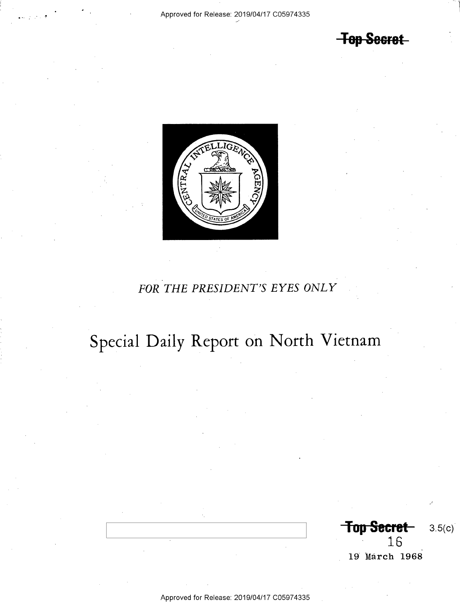**Top Secret** 



## FOR THE PRESIDENT'S EYES ONLY

# Special Daily Report on North Vietnam

Top Secret  $3.5(c)$ 16 19 March 1968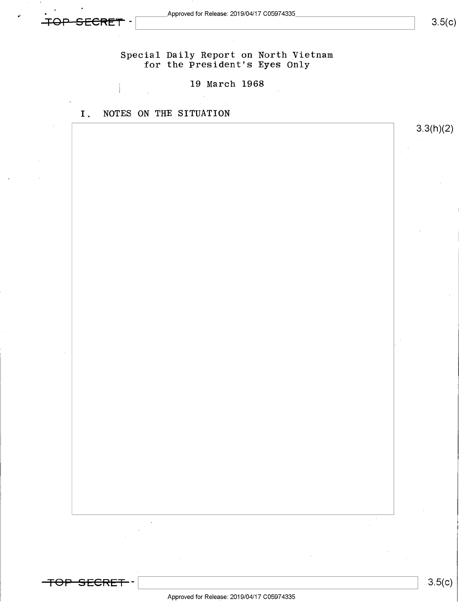<del>SECRET</del>

<del>-TOP SECRET</del> –

' n.

~

 $3.5(c)$ 

 $3.5(c)$ 

Special Daily Report on North Vietnam for the President's Eyes Only

19 March 1968

I. NOTES ON THE SITUATION

3.3(h)(2)

Approved for Release: 2019/04/17 C05974335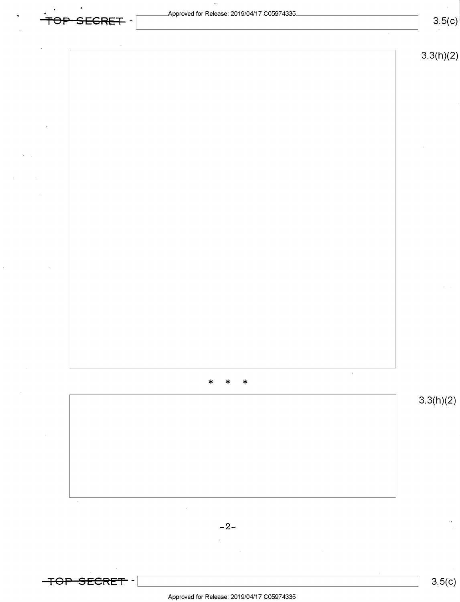| TOP SEGRET - | $\bar{\star}$<br>Approved for Release: 2019/04/17 C05974335<br>$\sim$ |                            |  |                                            | 3.5(c)    |
|--------------|-----------------------------------------------------------------------|----------------------------|--|--------------------------------------------|-----------|
|              |                                                                       |                            |  |                                            | 3.3(h)(2) |
|              |                                                                       |                            |  |                                            |           |
|              |                                                                       |                            |  |                                            |           |
|              |                                                                       |                            |  |                                            |           |
|              |                                                                       |                            |  |                                            |           |
|              |                                                                       |                            |  |                                            |           |
|              |                                                                       |                            |  |                                            |           |
|              |                                                                       |                            |  |                                            |           |
|              |                                                                       | $\ast$<br>$\ast$<br>$\ast$ |  | $\mathcal{L}^{\mathcal{L}}(\mathcal{A})$ . |           |
|              |                                                                       |                            |  |                                            | 3.3(h)(2) |
|              |                                                                       |                            |  |                                            |           |
|              |                                                                       |                            |  |                                            |           |



 $\ddot{\phantom{a}}$ 

 $\epsilon$  $\hat{\mathcal{L}}$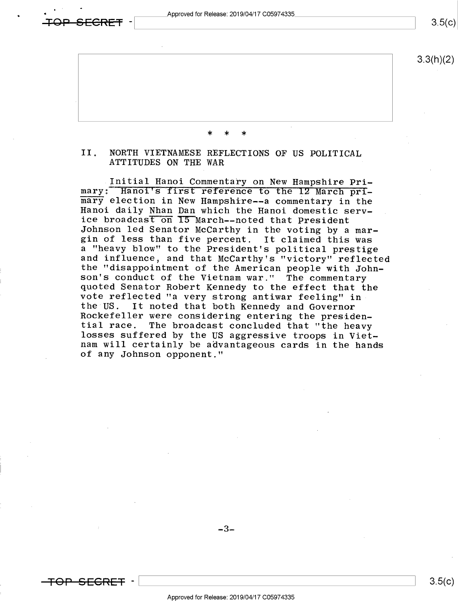Approved for Release: 2019/04/17 C05974335

 $3.5(c)$ 

 $3.3(h)(2)$ 

# II. NORTH VIETNAMESE REFLECTIONS OF US POLITICAL ATTITUDES ON THE WAR

\* \* \*

Initial Hanoi Commentary on New Hampshire Primary: Hanoi's first reference to the 12 March pri-<br>mary election in New Hampshire--a commentary in the Hanoi daily Nhan Dan which the Hanoi domestic serv-<br>ice broadcast on 15 March--noted that President Johnson led Senator McCarthy in the voting by a mar-<br>gin of less than five percent. It claimed this was a "heavy blow" to the President's political prestige<br>and influence, and that McCarthy's "victory" reflected<br>the "disappointment of the American people with John-<br>son's conduct of the Vietnam war." The commentary<br>quoted Sen Rockefeller were considering entering the presiden-<br>tial race. The broadcast concluded that "the heavy<br>losses suffered by the US aggressive troops in Viet-<br>nam will certainly be advantageous cards in the hands of any Johnson opponent."

 $-3-$ 

\_

 $\epsilon$ RFT .

\ \ 8-5(¢)